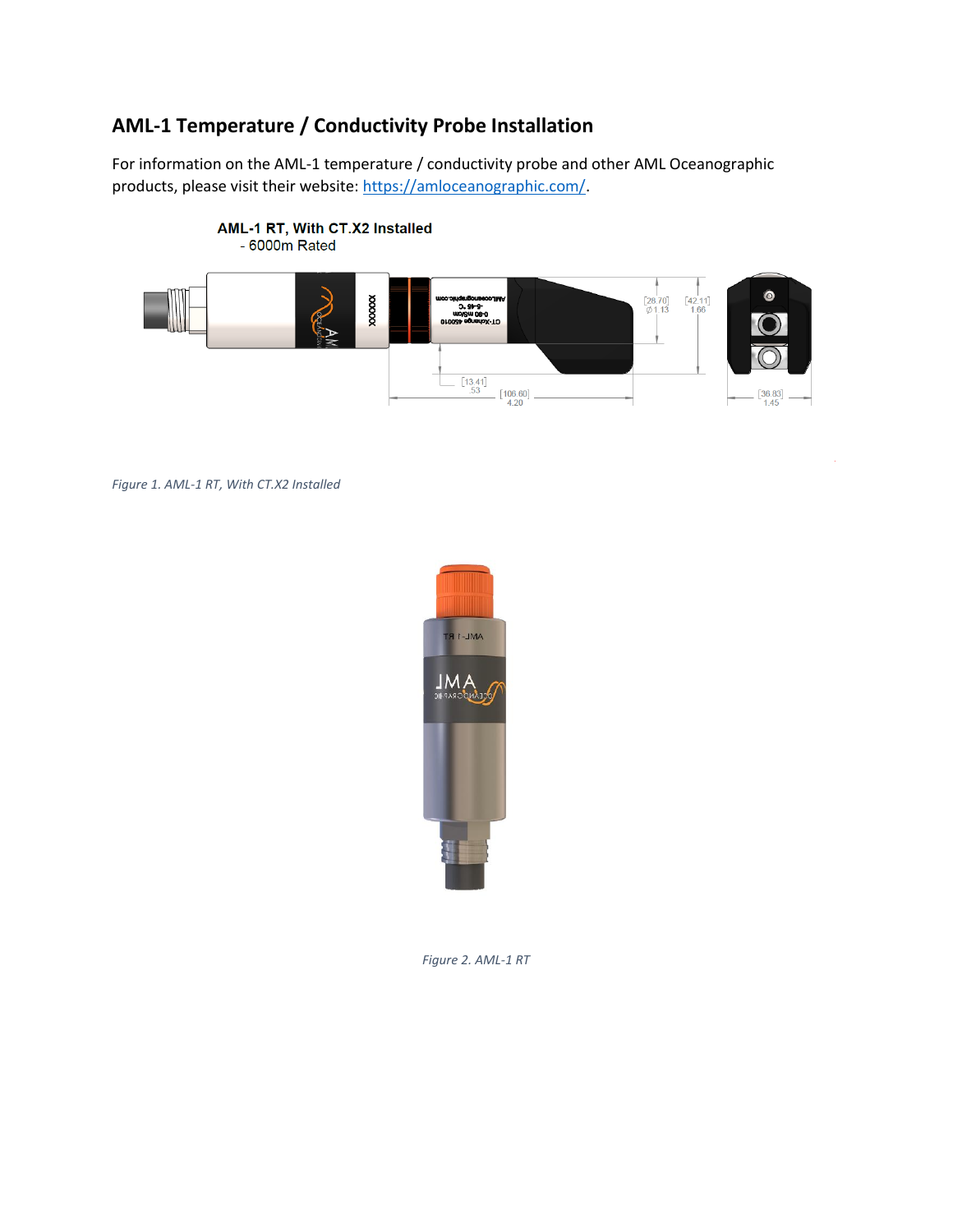## **AML-1 Temperature / Conductivity Probe Installation**

For information on the AML-1 temperature / conductivity probe and other AML Oceanographic products, please visit their website: [https://amloceanographic.com/.](https://amloceanographic.com/)



*Figure 1. AML-1 RT, With CT.X2 Installed*



*Figure 2. AML-1 RT*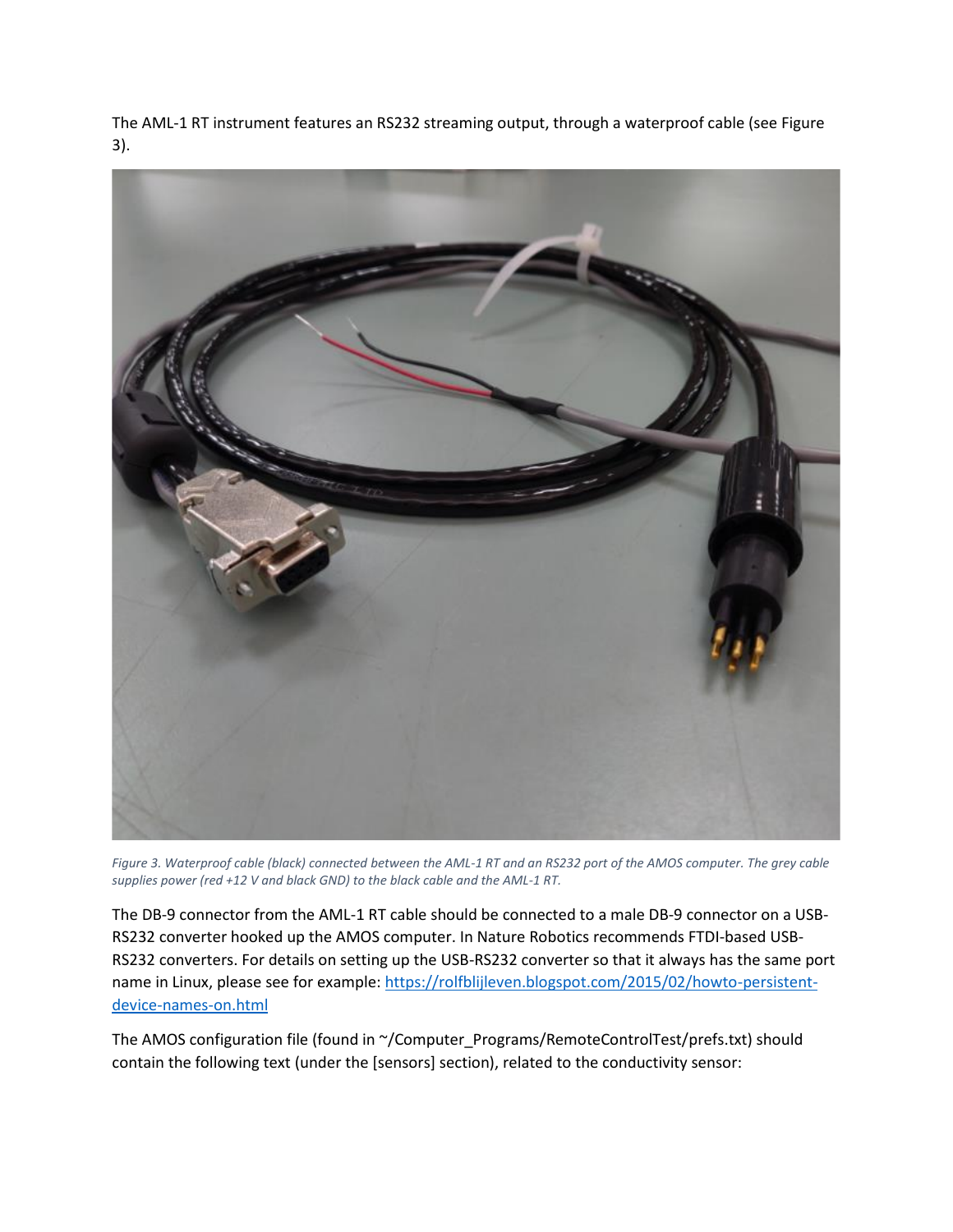The AML-1 RT instrument features an RS232 streaming output, through a waterproof cable (see Figure 3).



*Figure 3. Waterproof cable (black) connected between the AML-1 RT and an RS232 port of the AMOS computer. The grey cable supplies power (red +12 V and black GND) to the black cable and the AML-1 RT.*

The DB-9 connector from the AML-1 RT cable should be connected to a male DB-9 connector on a USB-RS232 converter hooked up the AMOS computer. In Nature Robotics recommends FTDI-based USB-RS232 converters. For details on setting up the USB-RS232 converter so that it always has the same port name in Linux, please see for example: [https://rolfblijleven.blogspot.com/2015/02/howto-persistent](https://rolfblijleven.blogspot.com/2015/02/howto-persistent-device-names-on.html)[device-names-on.html](https://rolfblijleven.blogspot.com/2015/02/howto-persistent-device-names-on.html)

The AMOS configuration file (found in ~/Computer\_Programs/RemoteControlTest/prefs.txt) should contain the following text (under the [sensors] section), related to the conductivity sensor: